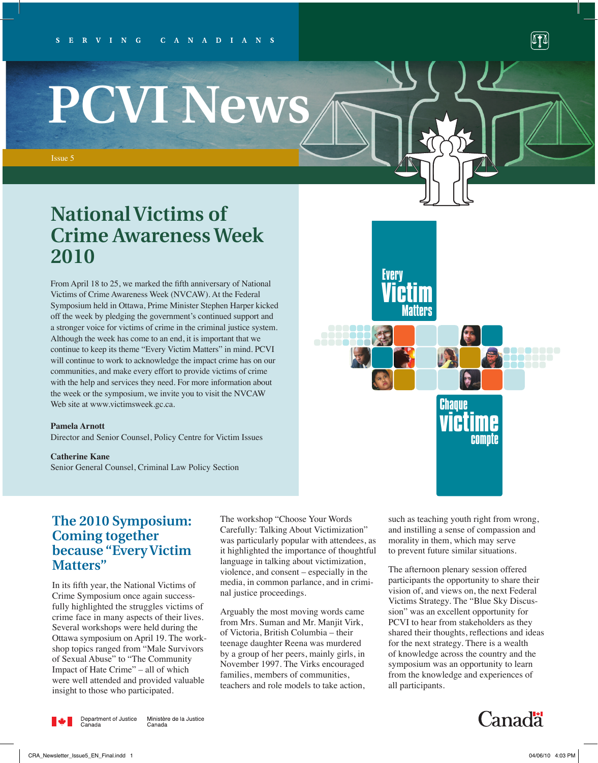# **PCVI News**

Issue 5

# **National Victims of Crime Awareness Week 2010**

From April 18 to 25, we marked the fifth anniversary of National Victims of Crime Awareness Week (NVCAW). At the Federal Symposium held in Ottawa, Prime Minister Stephen Harper kicked off the week by pledging the government's continued support and a stronger voice for victims of crime in the criminal justice system. Although the week has come to an end, it is important that we continue to keep its theme "Every Victim Matters" in mind. PCVI will continue to work to acknowledge the impact crime has on our communities, and make every effort to provide victims of crime with the help and services they need. For more information about the week or the symposium, we invite you to visit the NVCAW Web site at www.victimsweek.gc.ca.

#### **Pamela Arnott**

Director and Senior Counsel, Policy Centre for Victim Issues

**Catherine Kane** Senior General Counsel, Criminal Law Policy Section

**The 2010 Symposium: Coming together because "Every Victim Matters"**

In its fifth year, the National Victims of Crime Symposium once again successfully highlighted the struggles victims of crime face in many aspects of their lives. Several workshops were held during the Ottawa symposium on April 19. The workshop topics ranged from "Male Survivors of Sexual Abuse" to "The Community Impact of Hate Crime" – all of which were well attended and provided valuable insight to those who participated.

The workshop "Choose Your Words Carefully: Talking About Victimization" was particularly popular with attendees, as it highlighted the importance of thoughtful language in talking about victimization, violence, and consent – especially in the media, in common parlance, and in criminal justice proceedings.

Arguably the most moving words came from Mrs. Suman and Mr. Manjit Virk, of Victoria, British Columbia – their teenage daughter Reena was murdered by a group of her peers, mainly girls, in November 1997. The Virks encouraged families, members of communities, teachers and role models to take action, such as teaching youth right from wrong, and instilling a sense of compassion and morality in them, which may serve to prevent future similar situations.

Chanue

Every

**Victim** Matters

> **victime** compte

iti birin

The afternoon plenary session offered participants the opportunity to share their vision of, and views on, the next Federal Victims Strategy. The "Blue Sky Discussion" was an excellent opportunity for PCVI to hear from stakeholders as they shared their thoughts, reflections and ideas for the next strategy. There is a wealth of knowledge across the country and the symposium was an opportunity to learn from the knowledge and experiences of all participants.